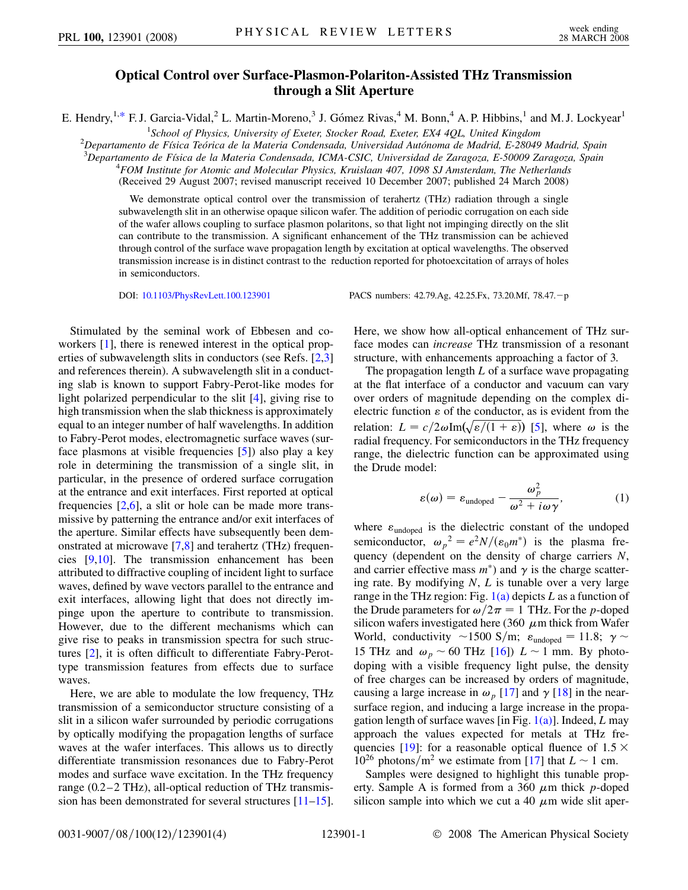## **Optical Control over Surface-Plasmon-Polariton-Assisted THz Transmission through a Slit Aperture**

<span id="page-0-1"></span>E. Hendry,<sup>1[,\\*](#page-3-0)</sup> F. J. Garcia-Vidal,<sup>2</sup> L. Martin-Moreno,<sup>3</sup> J. Gómez Rivas,<sup>4</sup> M. Bonn,<sup>4</sup> A. P. Hibbins,<sup>1</sup> and M. J. Lockyear<sup>1</sup>

<sup>1</sup> School of Physics, University of Exeter, Stocker Road, Exeter, EX4 4QL, United Kingdom<sup>1</sup><br><sup>2</sup> Departamento de Eísica Teórica de la Materia Condansada, Universidad Autónoma de Madrid, E 28040

<sup>2</sup>Departamento de Física Teórica de la Materia Condensada, Universidad Autónoma de Madrid, E-28049 Madrid, Spain

*Departamento de Fı´sica de la Materia Condensada, ICMA-CSIC, Universidad de Zaragoza, E-50009 Zaragoza, Spain* <sup>4</sup>

*FOM Institute for Atomic and Molecular Physics, Kruislaan 407, 1098 SJ Amsterdam, The Netherlands*

(Received 29 August 2007; revised manuscript received 10 December 2007; published 24 March 2008)

We demonstrate optical control over the transmission of terahertz (THz) radiation through a single subwavelength slit in an otherwise opaque silicon wafer. The addition of periodic corrugation on each side of the wafer allows coupling to surface plasmon polaritons, so that light not impinging directly on the slit can contribute to the transmission. A significant enhancement of the THz transmission can be achieved through control of the surface wave propagation length by excitation at optical wavelengths. The observed transmission increase is in distinct contrast to the reduction reported for photoexcitation of arrays of holes in semiconductors.

Stimulated by the seminal work of Ebbesen and coworkers [\[1\]](#page-3-1), there is renewed interest in the optical properties of subwavelength slits in conductors (see Refs. [[2](#page-3-2)[,3\]](#page-3-3) and references therein). A subwavelength slit in a conducting slab is known to support Fabry-Perot-like modes for light polarized perpendicular to the slit [[4\]](#page-3-4), giving rise to high transmission when the slab thickness is approximately equal to an integer number of half wavelengths. In addition to Fabry-Perot modes, electromagnetic surface waves (surface plasmons at visible frequencies [\[5](#page-3-5)]) also play a key role in determining the transmission of a single slit, in particular, in the presence of ordered surface corrugation at the entrance and exit interfaces. First reported at optical frequencies  $[2,6]$  $[2,6]$ , a slit or hole can be made more transmissive by patterning the entrance and/or exit interfaces of the aperture. Similar effects have subsequently been demonstrated at microwave [\[7](#page-3-7),[8](#page-3-8)] and terahertz (THz) frequencies [[9](#page-3-9),[10](#page-3-10)]. The transmission enhancement has been attributed to diffractive coupling of incident light to surface waves, defined by wave vectors parallel to the entrance and exit interfaces, allowing light that does not directly impinge upon the aperture to contribute to transmission. However, due to the different mechanisms which can give rise to peaks in transmission spectra for such structures [\[2\]](#page-3-2), it is often difficult to differentiate Fabry-Perottype transmission features from effects due to surface waves.

Here, we are able to modulate the low frequency, THz transmission of a semiconductor structure consisting of a slit in a silicon wafer surrounded by periodic corrugations by optically modifying the propagation lengths of surface waves at the wafer interfaces. This allows us to directly differentiate transmission resonances due to Fabry-Perot modes and surface wave excitation. In the THz frequency range (0.2–2 THz), all-optical reduction of THz transmission has been demonstrated for several structures [[11](#page-3-11)–[15\]](#page-3-12).

DOI: [10.1103/PhysRevLett.100.123901](http://dx.doi.org/10.1103/PhysRevLett.100.123901) PACS numbers: 42.79.Ag, 42.25.Fx, 73.20.Mf, 78.47.-p

Here, we show how all-optical enhancement of THz surface modes can *increase* THz transmission of a resonant structure, with enhancements approaching a factor of 3.

The propagation length *L* of a surface wave propagating at the flat interface of a conductor and vacuum can vary over orders of magnitude depending on the complex dielectric function  $\varepsilon$  of the conductor, as is evident from the relation:  $L = c/2\omega \text{Im}(\sqrt{\varepsilon/(1+\varepsilon)})$  [[5](#page-3-5)], where  $\omega$  is the radial frequency. For semiconductors in the THz frequency range, the dielectric function can be approximated using the Drude model:

$$
\varepsilon(\omega) = \varepsilon_{\text{undoped}} - \frac{\omega_p^2}{\omega^2 + i\omega\gamma},\tag{1}
$$

<span id="page-0-0"></span>where  $\varepsilon$ <sub>undoped</sub> is the dielectric constant of the undoped semiconductor,  $\omega_p^2 = e^2 N/(\varepsilon_0 m^*)$  is the plasma frequency (dependent on the density of charge carriers *N*, and carrier effective mass  $m^*$ ) and  $\gamma$  is the charge scattering rate. By modifying *N*, *L* is tunable over a very large range in the THz region: Fig. [1\(a\)](#page-1-0) depicts *L* as a function of the Drude parameters for  $\omega/2\pi = 1$  THz. For the *p*-doped silicon wafers investigated here (360  $\mu$ m thick from Wafer World, conductivity  $\sim$ 1500 S/m;  $\varepsilon_{\text{undoped}} = 11.8; \gamma \sim$ 15 THz and  $\omega_p \sim 60$  THz [\[16\]](#page-3-13))  $L \sim 1$  mm. By photodoping with a visible frequency light pulse, the density of free charges can be increased by orders of magnitude, causing a large increase in  $\omega_p$  [\[17\]](#page-3-14) and  $\gamma$  [\[18\]](#page-3-15) in the nearsurface region, and inducing a large increase in the propagation length of surface waves [in Fig. [1\(a\)\]](#page-1-0). Indeed, *L* may approach the values expected for metals at THz fre-quencies [\[19\]](#page-3-16): for a reasonable optical fluence of  $1.5 \times$  $10^{26}$  photons/m<sup>2</sup> we estimate from [[17](#page-3-14)] that  $L \sim 1$  cm.

Samples were designed to highlight this tunable property. Sample A is formed from a 360  $\mu$ m thick *p*-doped silicon sample into which we cut a 40  $\mu$ m wide slit aper-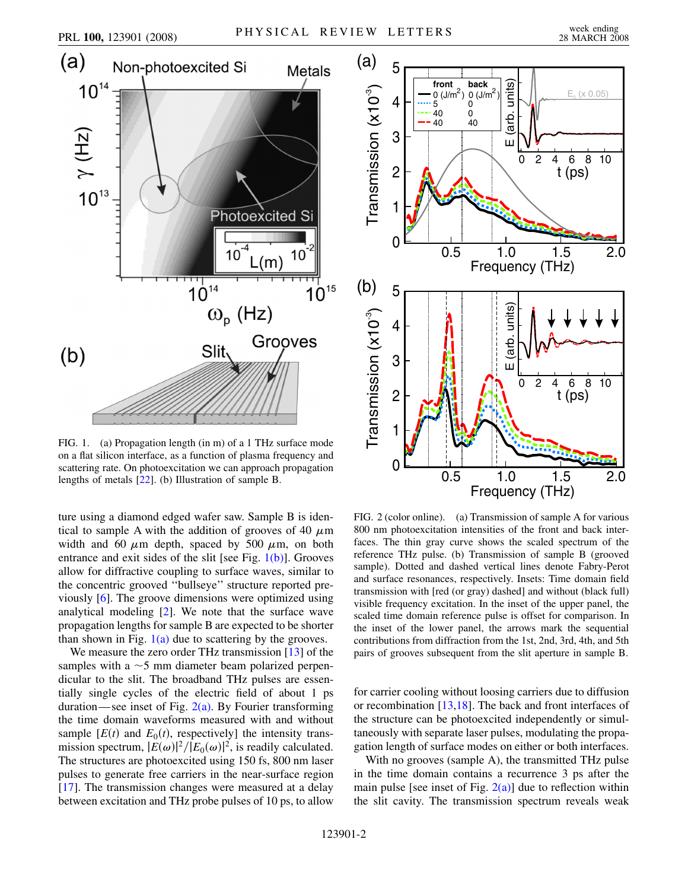

<span id="page-1-0"></span>FIG. 1. (a) Propagation length (in m) of a 1 THz surface mode on a flat silicon interface, as a function of plasma frequency and scattering rate. On photoexcitation we can approach propagation lengths of metals [\[22\]](#page-3-18). (b) Illustration of sample B.

ture using a diamond edged wafer saw. Sample B is identical to sample A with the addition of grooves of 40  $\mu$ m width and 60  $\mu$ m depth, spaced by 500  $\mu$ m, on both entrance and exit sides of the slit [see Fig.  $1(b)$ ]. Grooves allow for diffractive coupling to surface waves, similar to the concentric grooved ''bullseye'' structure reported previously [\[6\]](#page-3-6). The groove dimensions were optimized using analytical modeling [\[2\]](#page-3-2). We note that the surface wave propagation lengths for sample B are expected to be shorter than shown in Fig.  $1(a)$  due to scattering by the grooves.

We measure the zero order THz transmission [[13](#page-3-17)] of the samples with a  $\sim$  5 mm diameter beam polarized perpendicular to the slit. The broadband THz pulses are essentially single cycles of the electric field of about 1 ps duration—see inset of Fig.  $2(a)$ . By Fourier transforming the time domain waveforms measured with and without sample  $[E(t)]$  and  $E_0(t)$ , respectively] the intensity transmission spectrum,  $|E(\omega)|^2/|E_0(\omega)|^2$ , is readily calculated. The structures are photoexcited using 150 fs, 800 nm laser pulses to generate free carriers in the near-surface region [\[17\]](#page-3-14). The transmission changes were measured at a delay between excitation and THz probe pulses of 10 ps, to allow

<span id="page-1-2"></span>

<span id="page-1-1"></span>FIG. 2 (color online). (a) Transmission of sample A for various 800 nm photoexcitation intensities of the front and back interfaces. The thin gray curve shows the scaled spectrum of the reference THz pulse. (b) Transmission of sample B (grooved sample). Dotted and dashed vertical lines denote Fabry-Perot and surface resonances, respectively. Insets: Time domain field transmission with [red (or gray) dashed] and without (black full) visible frequency excitation. In the inset of the upper panel, the scaled time domain reference pulse is offset for comparison. In the inset of the lower panel, the arrows mark the sequential contributions from diffraction from the 1st, 2nd, 3rd, 4th, and 5th pairs of grooves subsequent from the slit aperture in sample B.

for carrier cooling without loosing carriers due to diffusion or recombination [\[13,](#page-3-17)[18\]](#page-3-15). The back and front interfaces of the structure can be photoexcited independently or simultaneously with separate laser pulses, modulating the propagation length of surface modes on either or both interfaces.

With no grooves (sample A), the transmitted THz pulse in the time domain contains a recurrence 3 ps after the main pulse [see inset of Fig.  $2(a)$ ] due to reflection within the slit cavity. The transmission spectrum reveals weak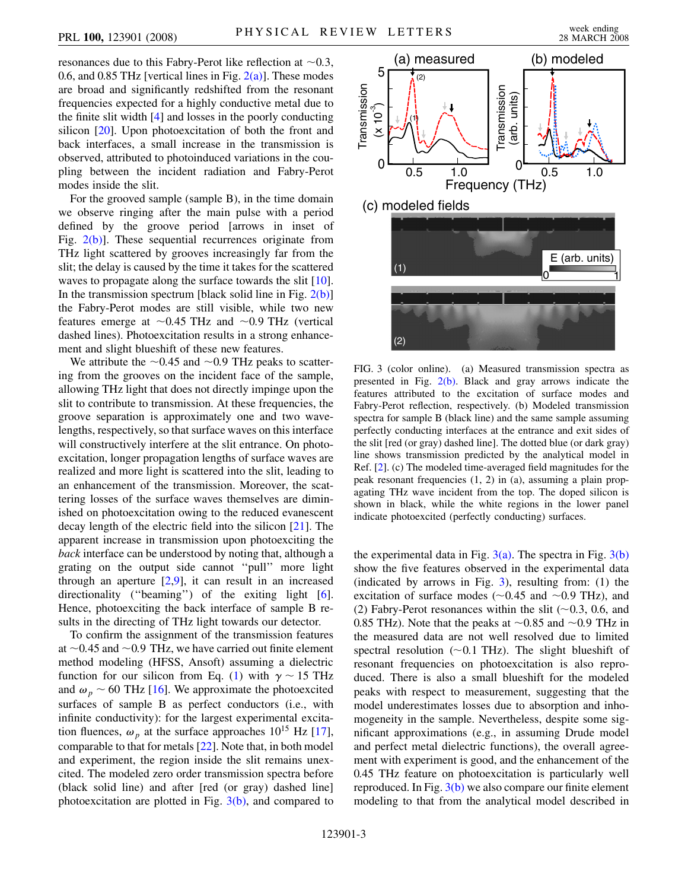resonances due to this Fabry-Perot like reflection at  $\sim 0.3$ , 0.6, and 0.85 THz [vertical lines in Fig.  $2(a)$ ]. These modes are broad and significantly redshifted from the resonant frequencies expected for a highly conductive metal due to the finite slit width [\[4](#page-3-4)] and losses in the poorly conducting silicon [[20\]](#page-3-19). Upon photoexcitation of both the front and back interfaces, a small increase in the transmission is observed, attributed to photoinduced variations in the coupling between the incident radiation and Fabry-Perot modes inside the slit.

For the grooved sample (sample B), in the time domain we observe ringing after the main pulse with a period defined by the groove period [arrows in inset of Fig.  $2(b)$ ]. These sequential recurrences originate from THz light scattered by grooves increasingly far from the slit; the delay is caused by the time it takes for the scattered waves to propagate along the surface towards the slit [[10\]](#page-3-10). In the transmission spectrum [black solid line in Fig.  $2(b)$ ] the Fabry-Perot modes are still visible, while two new features emerge at  $\sim 0.45$  THz and  $\sim 0.9$  THz (vertical dashed lines). Photoexcitation results in a strong enhancement and slight blueshift of these new features.

We attribute the  $\sim 0.45$  and  $\sim 0.9$  THz peaks to scattering from the grooves on the incident face of the sample, allowing THz light that does not directly impinge upon the slit to contribute to transmission. At these frequencies, the groove separation is approximately one and two wavelengths, respectively, so that surface waves on this interface will constructively interfere at the slit entrance. On photoexcitation, longer propagation lengths of surface waves are realized and more light is scattered into the slit, leading to an enhancement of the transmission. Moreover, the scattering losses of the surface waves themselves are diminished on photoexcitation owing to the reduced evanescent decay length of the electric field into the silicon [\[21\]](#page-3-20). The apparent increase in transmission upon photoexciting the *back* interface can be understood by noting that, although a grating on the output side cannot ''pull'' more light through an aperture  $[2,9]$  $[2,9]$  $[2,9]$  $[2,9]$  $[2,9]$ , it can result in an increased directionality ("beaming") of the exiting light [[6\]](#page-3-6). Hence, photoexciting the back interface of sample B results in the directing of THz light towards our detector.

To confirm the assignment of the transmission features at  $\sim$  0.45 and  $\sim$  0.9 THz, we have carried out finite element method modeling (HFSS, Ansoft) assuming a dielectric function for our silicon from Eq. ([1\)](#page-0-0) with  $\gamma \sim 15$  THz and  $\omega_p \sim 60$  THz [\[16\]](#page-3-13). We approximate the photoexcited surfaces of sample B as perfect conductors (i.e., with infinite conductivity): for the largest experimental excitation fluences,  $\omega_p$  at the surface approaches 10<sup>15</sup> Hz [\[17\]](#page-3-14), comparable to that for metals [\[22\]](#page-3-18). Note that, in both model and experiment, the region inside the slit remains unexcited. The modeled zero order transmission spectra before (black solid line) and after [red (or gray) dashed line] photoexcitation are plotted in Fig.  $3(b)$ , and compared to

<span id="page-2-1"></span>

<span id="page-2-0"></span>FIG. 3 (color online). (a) Measured transmission spectra as presented in Fig.  $2(b)$ . Black and gray arrows indicate the features attributed to the excitation of surface modes and Fabry-Perot reflection, respectively. (b) Modeled transmission spectra for sample B (black line) and the same sample assuming perfectly conducting interfaces at the entrance and exit sides of the slit [red (or gray) dashed line]. The dotted blue (or dark gray) line shows transmission predicted by the analytical model in Ref. [\[2](#page-3-2)]. (c) The modeled time-averaged field magnitudes for the peak resonant frequencies (1, 2) in (a), assuming a plain propagating THz wave incident from the top. The doped silicon is shown in black, while the white regions in the lower panel indicate photoexcited (perfectly conducting) surfaces.

the experimental data in Fig.  $3(a)$ . The spectra in Fig.  $3(b)$ show the five features observed in the experimental data (indicated by arrows in Fig. [3\)](#page-2-1), resulting from: (1) the excitation of surface modes  $(\sim 0.45$  and  $\sim 0.9$  THz), and (2) Fabry-Perot resonances within the slit  $(\sim 0.3, 0.6, \text{ and})$ 0.85 THz). Note that the peaks at  $\sim$ 0.85 and  $\sim$ 0.9 THz in the measured data are not well resolved due to limited spectral resolution  $(\sim 0.1 \text{ THz})$ . The slight blueshift of resonant frequencies on photoexcitation is also reproduced. There is also a small blueshift for the modeled peaks with respect to measurement, suggesting that the model underestimates losses due to absorption and inhomogeneity in the sample. Nevertheless, despite some significant approximations (e.g., in assuming Drude model and perfect metal dielectric functions), the overall agreement with experiment is good, and the enhancement of the 0.45 THz feature on photoexcitation is particularly well reproduced. In Fig.  $3(b)$  we also compare our finite element modeling to that from the analytical model described in